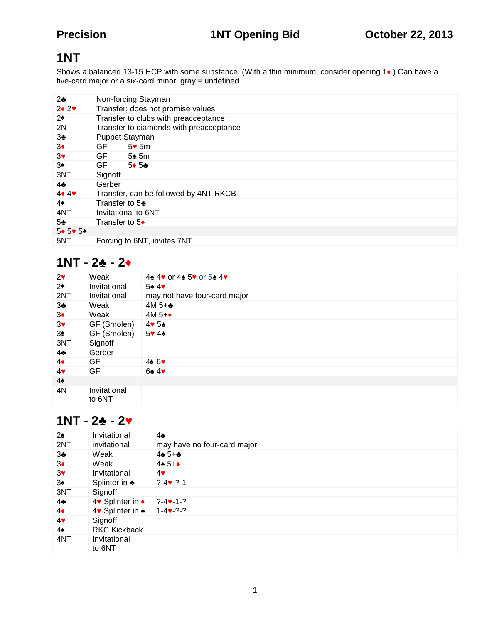## **1NT**

Shows a balanced 13-15 HCP with some substance. (With a thin minimum, consider opening 1 .) Can have a five-card major or a six-card minor. gray = undefined

| 2              |         | Non-forcing Stayman                     |  |  |  |
|----------------|---------|-----------------------------------------|--|--|--|
| 2 <sub>2</sub> |         | Transfer; does not promise values       |  |  |  |
| 2              |         | Transfer to clubs with preacceptance    |  |  |  |
| 2NT            |         | Transfer to diamonds with preacceptance |  |  |  |
| 3              |         | Puppet Stayman                          |  |  |  |
| 3              | GF      | 5 5m                                    |  |  |  |
| 3              | GF I    | 5 5m                                    |  |  |  |
| 3              | GF      | 5 5                                     |  |  |  |
| 3NT            | Signoff |                                         |  |  |  |
| 4              |         | Gerber                                  |  |  |  |
| 44             |         | Transfer, can be followed by 4NT RKCB   |  |  |  |
| 4              |         | Transfer to 5                           |  |  |  |
| 4NT            |         | Invitational to 6NT                     |  |  |  |
| 5              |         | Transfer to 5                           |  |  |  |
| 5 5 5          |         |                                         |  |  |  |
| 5NT            |         | Forcing to 6NT, invites 7NT             |  |  |  |
|                |         |                                         |  |  |  |

## $1NT - 2 - 2$

| 2              | Weak                   | 4 4 or 4 5 or 5 4            |
|----------------|------------------------|------------------------------|
| 2              | Invitational           | 5 4                          |
| 2NT            | Invitational           | may not have four-card major |
| 3              | Weak                   | $4M_{5+}$                    |
| 3              | Weak                   | $4M5+$                       |
| $\mathbf{3}$   | GF (Smolen)            | 4 5                          |
| 3              | GF (Smolen)            | 5 4                          |
| 3NT            | Signoff                |                              |
| 4              | Gerber                 |                              |
| 4              | GF                     | 4 6                          |
| 4              | GF                     | 6<br>$\overline{4}$          |
| $\overline{4}$ |                        |                              |
| 4NT            | Invitational<br>to 6NT |                              |

## $1NT - 2 - 2$

| 2   | Invitational           | 4                           |
|-----|------------------------|-----------------------------|
| 2NT | invitational           | may have no four-card major |
| 3   | Weak                   | $4\,5+$                     |
| 3   | Weak                   | $4\,5+$                     |
| 3   | Invitational           | 4                           |
| 3   | Splinter in            | $? - 4 - ? - 1$             |
| 3NT | Signoff                |                             |
| 4   | 4 Splinter in          | $? -4 -1 - ?$               |
| 4   | 4 Splinter in          | $1 - 4 - ? - ?$             |
| 4   | Signoff                |                             |
| 4   | <b>RKC Kickback</b>    |                             |
| 4NT | Invitational<br>to 6NT |                             |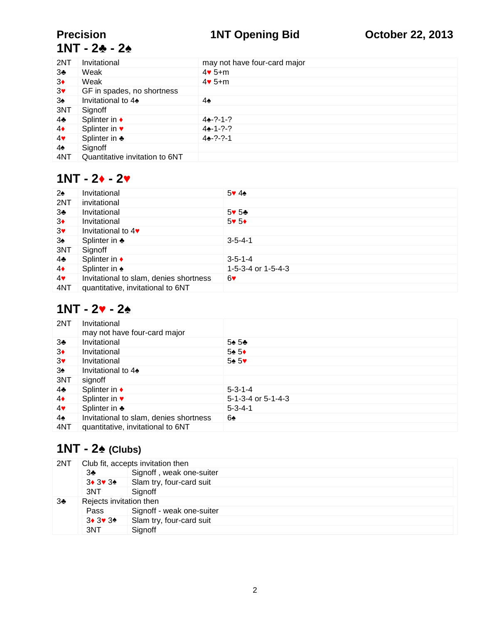## **Precision 1NT Opening Bid October 22, 2013**

# **1NT - 2 - 2♠**

| 2NT            | Invitational                   | may not have four-card major |
|----------------|--------------------------------|------------------------------|
| 3              | Weak                           | 4 $5+m$                      |
| 3              | Weak                           | $4.5+m$                      |
| 3              | GF in spades, no shortness     |                              |
| 3              | Invitational to 4              | 4                            |
| 3NT            | Signoff                        |                              |
| $\overline{4}$ | Splinter in                    | $4 - ? - 1 - ?$              |
| 4              | Splinter in                    | $4 - 1 - ? - ?$              |
| 4              | Splinter in                    | $4 - ? - ? - 1$              |
| 4              | Signoff                        |                              |
| 4NT            | Quantitative invitation to 6NT |                              |

## $1NT - 2 - 2$

| 2   | Invitational                           | 54                   |
|-----|----------------------------------------|----------------------|
| 2NT | invitational                           |                      |
| 3   | Invitational                           | 5 5                  |
| 3   | Invitational                           | 5 5                  |
| 3   | Invitational to 4                      |                      |
| 3   | Splinter in                            | $3 - 5 - 4 - 1$      |
| 3NT | Signoff                                |                      |
| 4   | Splinter in                            | $3 - 5 - 1 - 4$      |
| 4   | Splinter in                            | 1-5-3-4 or $1-5-4-3$ |
| 4   | Invitational to slam, denies shortness | 6                    |
| 4NT | quantitative, invitational to 6NT      |                      |

### $1NT - 2 - 2$

| 2NT | Invitational<br>may not have four-card major |                    |
|-----|----------------------------------------------|--------------------|
| 3   | Invitational                                 | 5 <sub>5</sub>     |
| 3   | Invitational                                 | 5 5                |
| 3   | Invitational                                 | 5 5                |
| 3   | Invitational to 4                            |                    |
| 3NT | signoff                                      |                    |
| 4   | Splinter in                                  | $5 - 3 - 1 - 4$    |
| 4   | Splinter in                                  | 5-1-3-4 or 5-1-4-3 |
| 4   | Splinter in                                  | $5 - 3 - 4 - 1$    |
| 4   | Invitational to slam, denies shortness       | 6                  |
| 4NT | quantitative, invitational to 6NT            |                    |

## **1NT - 2 (Clubs)**

| 2NT | Club fit, accepts invitation then |                           |  |  |  |
|-----|-----------------------------------|---------------------------|--|--|--|
|     | 3                                 | Signoff, weak one-suiter  |  |  |  |
|     | 3 3 3                             | Slam try, four-card suit  |  |  |  |
|     | 3NT                               | Signoff                   |  |  |  |
| 3   | Rejects invitation then           |                           |  |  |  |
|     | Pass                              | Signoff - weak one-suiter |  |  |  |
|     | 3 3 3                             | Slam try, four-card suit  |  |  |  |
|     | 3NT                               | Signoff                   |  |  |  |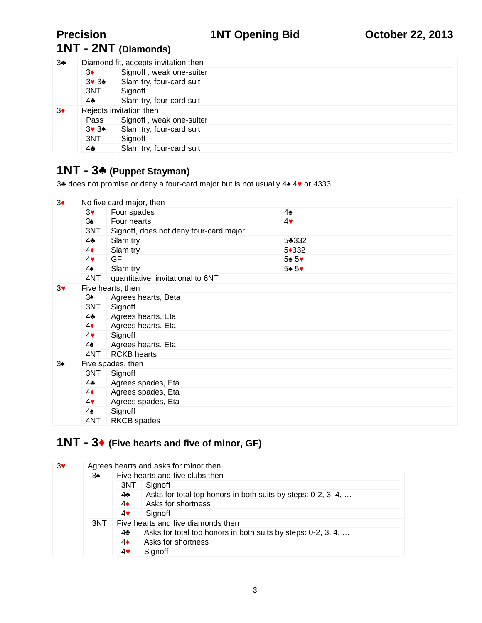## **1NT - 2NT (Diamonds)**

| 3 | Diamond fit, accepts invitation then |                          |  |  |  |  |  |
|---|--------------------------------------|--------------------------|--|--|--|--|--|
|   | 3                                    | Signoff, weak one-suiter |  |  |  |  |  |
|   | 3 3                                  | Slam try, four-card suit |  |  |  |  |  |
|   | 3NT                                  | Signoff                  |  |  |  |  |  |
|   | 4                                    | Slam try, four-card suit |  |  |  |  |  |
| 3 | Rejects invitation then              |                          |  |  |  |  |  |
|   | Pass                                 | Signoff, weak one-suiter |  |  |  |  |  |
|   | 3 3                                  | Slam try, four-card suit |  |  |  |  |  |
|   | 3NT                                  | Signoff                  |  |  |  |  |  |
|   | 4                                    | Slam try, four-card suit |  |  |  |  |  |

## **1NT - 3 (Puppet Stayman)**

3 does not promise or deny a four-card major but is not usually 4 4 or 4333.

| 3 |                   | No five card major, then               |                |  |  |  |  |
|---|-------------------|----------------------------------------|----------------|--|--|--|--|
|   | 3                 | Four spades                            | 4              |  |  |  |  |
|   | 3                 | Four hearts                            | 4              |  |  |  |  |
|   | 3NT               | Signoff, does not deny four-card major |                |  |  |  |  |
|   | 4                 | Slam try                               | 5 332          |  |  |  |  |
|   | 4                 | Slam try                               | 5 3 3 2        |  |  |  |  |
|   | 4                 | <b>GF</b>                              | 5 <sub>5</sub> |  |  |  |  |
|   | 4                 | Slam try                               | 5 <sub>5</sub> |  |  |  |  |
|   | 4NT               | quantitative, invitational to 6NT      |                |  |  |  |  |
| 3 |                   | Five hearts, then                      |                |  |  |  |  |
|   | 3                 | Agrees hearts, Beta                    |                |  |  |  |  |
|   | 3NT               | Signoff                                |                |  |  |  |  |
|   | 4                 | Agrees hearts, Eta                     |                |  |  |  |  |
|   | 4                 | Agrees hearts, Eta                     |                |  |  |  |  |
|   | 4                 | Signoff                                |                |  |  |  |  |
|   | 4                 | Agrees hearts, Eta                     |                |  |  |  |  |
|   | 4NT               | <b>RCKB</b> hearts                     |                |  |  |  |  |
| 3 | Five spades, then |                                        |                |  |  |  |  |
|   | 3NT               | Signoff                                |                |  |  |  |  |
|   | 4                 | Agrees spades, Eta                     |                |  |  |  |  |
|   | 4                 | Agrees spades, Eta                     |                |  |  |  |  |
|   | 4                 | Agrees spades, Eta                     |                |  |  |  |  |
|   | 4                 | Signoff                                |                |  |  |  |  |
|   | 4NT               | RKCB spades                            |                |  |  |  |  |

## **1NT - 3 (Five hearts and five of minor, GF)**

| 3 |     | Agrees hearts and asks for minor then                             |  |  |  |
|---|-----|-------------------------------------------------------------------|--|--|--|
|   | 3   | Five hearts and five clubs then                                   |  |  |  |
|   |     | Signoff<br>3NT                                                    |  |  |  |
|   |     | Asks for total top honors in both suits by steps: 0-2, 3, 4,<br>4 |  |  |  |
|   |     | Asks for shortness<br>4                                           |  |  |  |
|   |     | Signoff<br>4                                                      |  |  |  |
|   | 3NT | Five hearts and five diamonds then                                |  |  |  |
|   |     | Asks for total top honors in both suits by steps: 0-2, 3, 4,<br>4 |  |  |  |
|   |     | Asks for shortness<br>4                                           |  |  |  |
|   |     | Signoff<br>4                                                      |  |  |  |